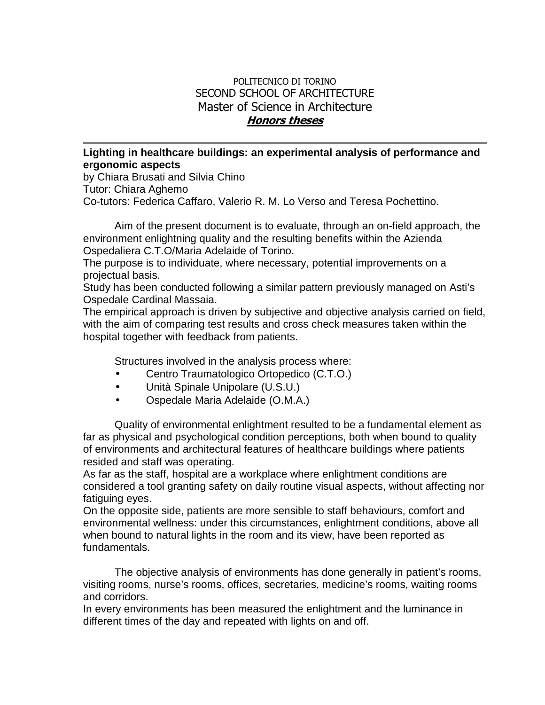## POLITECNICO DI TORINO SECOND SCHOOL OF ARCHITECTURE Master of Science in Architecture **Honors theses**

## **Lighting in healthcare buildings: an experimental analysis of performance and ergonomic aspects**

by Chiara Brusati and Silvia Chino Tutor: Chiara Aghemo Co-tutors: Federica Caffaro, Valerio R. M. Lo Verso and Teresa Pochettino.

 Aim of the present document is to evaluate, through an on-field approach, the environment enlightning quality and the resulting benefits within the Azienda Ospedaliera C.T.O/Maria Adelaide of Torino.

The purpose is to individuate, where necessary, potential improvements on a projectual basis.

Study has been conducted following a similar pattern previously managed on Asti's Ospedale Cardinal Massaia.

The empirical approach is driven by subjective and objective analysis carried on field, with the aim of comparing test results and cross check measures taken within the hospital together with feedback from patients.

Structures involved in the analysis process where:

- Centro Traumatologico Ortopedico (C.T.O.)
- Unità Spinale Unipolare (U.S.U.)
- Ospedale Maria Adelaide (O.M.A.)

 Quality of environmental enlightment resulted to be a fundamental element as far as physical and psychological condition perceptions, both when bound to quality of environments and architectural features of healthcare buildings where patients resided and staff was operating.

As far as the staff, hospital are a workplace where enlightment conditions are considered a tool granting safety on daily routine visual aspects, without affecting nor fatiguing eyes.

On the opposite side, patients are more sensible to staff behaviours, comfort and environmental wellness: under this circumstances, enlightment conditions, above all when bound to natural lights in the room and its view, have been reported as fundamentals.

 The objective analysis of environments has done generally in patient's rooms, visiting rooms, nurse's rooms, offices, secretaries, medicine's rooms, waiting rooms and corridors.

In every environments has been measured the enlightment and the luminance in different times of the day and repeated with lights on and off.